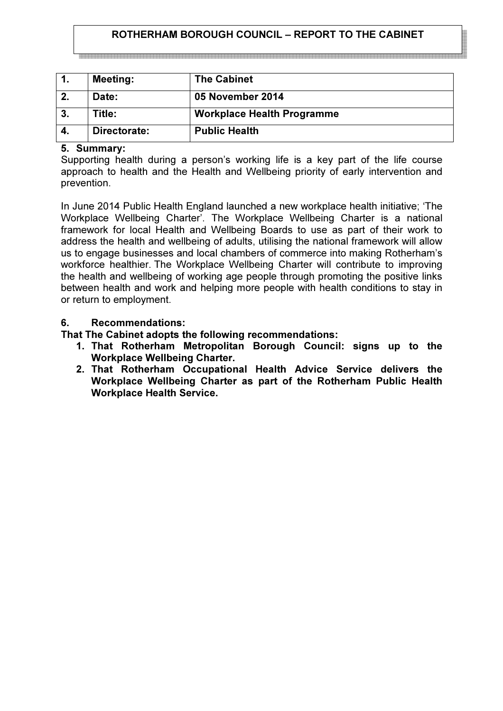## ROTHERHAM BOROUGH COUNCIL – REPORT TO THE CABINET

| $\mathbf{1}$ . | <b>Meeting:</b> | <b>The Cabinet</b>                |
|----------------|-----------------|-----------------------------------|
| 2.             | Date:           | 05 November 2014                  |
| 3.             | Title:          | <b>Workplace Health Programme</b> |
| 4.             | Directorate:    | <b>Public Health</b>              |

#### 5. Summary:

Supporting health during a person's working life is a key part of the life course approach to health and the Health and Wellbeing priority of early intervention and prevention.

In June 2014 Public Health England launched a new workplace health initiative; 'The Workplace Wellbeing Charter'. The Workplace Wellbeing Charter is a national framework for local Health and Wellbeing Boards to use as part of their work to address the health and wellbeing of adults, utilising the national framework will allow us to engage businesses and local chambers of commerce into making Rotherham's workforce healthier. The Workplace Wellbeing Charter will contribute to improving the health and wellbeing of working age people through promoting the positive links between health and work and helping more people with health conditions to stay in or return to employment.

### 6. Recommendations:

That The Cabinet adopts the following recommendations:

- 1. That Rotherham Metropolitan Borough Council: signs up to the Workplace Wellbeing Charter.
- 2. That Rotherham Occupational Health Advice Service delivers the Workplace Wellbeing Charter as part of the Rotherham Public Health Workplace Health Service.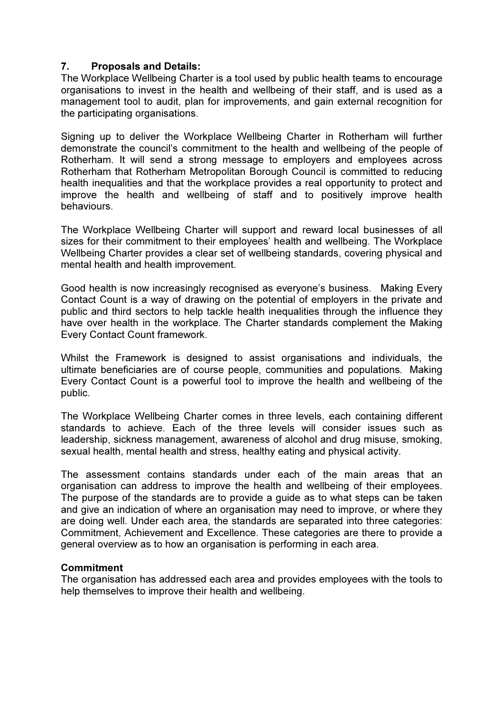### 7. Proposals and Details:

The Workplace Wellbeing Charter is a tool used by public health teams to encourage organisations to invest in the health and wellbeing of their staff, and is used as a management tool to audit, plan for improvements, and gain external recognition for the participating organisations.

Signing up to deliver the Workplace Wellbeing Charter in Rotherham will further demonstrate the council's commitment to the health and wellbeing of the people of Rotherham. It will send a strong message to employers and employees across Rotherham that Rotherham Metropolitan Borough Council is committed to reducing health inequalities and that the workplace provides a real opportunity to protect and improve the health and wellbeing of staff and to positively improve health behaviours.

The Workplace Wellbeing Charter will support and reward local businesses of all sizes for their commitment to their employees' health and wellbeing. The Workplace Wellbeing Charter provides a clear set of wellbeing standards, covering physical and mental health and health improvement.

Good health is now increasingly recognised as everyone's business. Making Every Contact Count is a way of drawing on the potential of employers in the private and public and third sectors to help tackle health inequalities through the influence they have over health in the workplace. The Charter standards complement the Making Every Contact Count framework.

Whilst the Framework is designed to assist organisations and individuals, the ultimate beneficiaries are of course people, communities and populations. Making Every Contact Count is a powerful tool to improve the health and wellbeing of the public.

The Workplace Wellbeing Charter comes in three levels, each containing different standards to achieve. Each of the three levels will consider issues such as leadership, sickness management, awareness of alcohol and drug misuse, smoking, sexual health, mental health and stress, healthy eating and physical activity.

The assessment contains standards under each of the main areas that an organisation can address to improve the health and wellbeing of their employees. The purpose of the standards are to provide a guide as to what steps can be taken and give an indication of where an organisation may need to improve, or where they are doing well. Under each area, the standards are separated into three categories: Commitment, Achievement and Excellence. These categories are there to provide a general overview as to how an organisation is performing in each area.

### **Commitment**

The organisation has addressed each area and provides employees with the tools to help themselves to improve their health and wellbeing.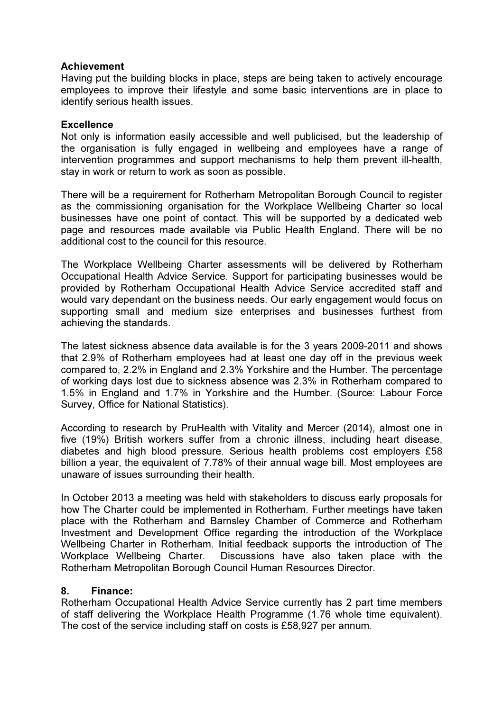### Achievement

Having put the building blocks in place, steps are being taken to actively encourage employees to improve their lifestyle and some basic interventions are in place to identify serious health issues.

### **Excellence**

Not only is information easily accessible and well publicised, but the leadership of the organisation is fully engaged in wellbeing and employees have a range of intervention programmes and support mechanisms to help them prevent ill-health, stay in work or return to work as soon as possible.

There will be a requirement for Rotherham Metropolitan Borough Council to register as the commissioning organisation for the Workplace Wellbeing Charter so local businesses have one point of contact. This will be supported by a dedicated web page and resources made available via Public Health England. There will be no additional cost to the council for this resource.

The Workplace Wellbeing Charter assessments will be delivered by Rotherham Occupational Health Advice Service. Support for participating businesses would be provided by Rotherham Occupational Health Advice Service accredited staff and would vary dependant on the business needs. Our early engagement would focus on supporting small and medium size enterprises and businesses furthest from achieving the standards.

The latest sickness absence data available is for the 3 years 2009-2011 and shows that 2.9% of Rotherham employees had at least one day off in the previous week compared to, 2.2% in England and 2.3% Yorkshire and the Humber. The percentage of working days lost due to sickness absence was 2.3% in Rotherham compared to 1.5% in England and 1.7% in Yorkshire and the Humber. (Source: Labour Force Survey, Office for National Statistics).

According to research by PruHealth with Vitality and Mercer (2014), almost one in five (19%) British workers suffer from a chronic illness, including heart disease, diabetes and high blood pressure. Serious health problems cost employers £58 billion a year, the equivalent of 7.78% of their annual wage bill. Most employees are unaware of issues surrounding their health.

In October 2013 a meeting was held with stakeholders to discuss early proposals for how The Charter could be implemented in Rotherham. Further meetings have taken place with the Rotherham and Barnsley Chamber of Commerce and Rotherham Investment and Development Office regarding the introduction of the Workplace Wellbeing Charter in Rotherham. Initial feedback supports the introduction of The Workplace Wellbeing Charter. Discussions have also taken place with the Rotherham Metropolitan Borough Council Human Resources Director.

### 8. Finance:

Rotherham Occupational Health Advice Service currently has 2 part time members of staff delivering the Workplace Health Programme (1.76 whole time equivalent). The cost of the service including staff on costs is £58,927 per annum.